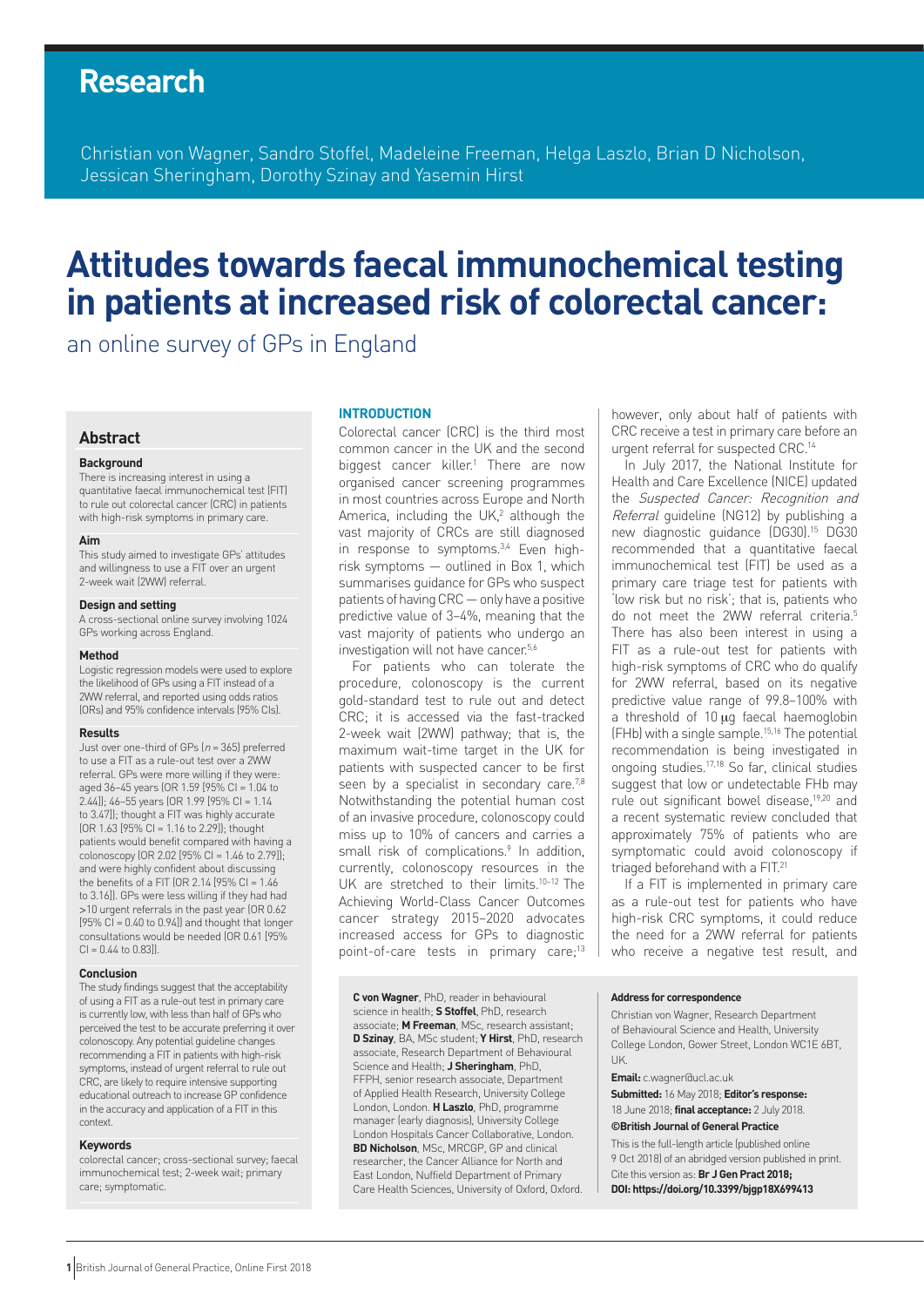# **Research**

Christian von Wagner, Sandro Stoffel, Madeleine Freeman, Helga Laszlo, Brian D Nicholson, Jessican Sheringham, Dorothy Szinay and Yasemin Hirst

# **Attitudes towards faecal immunochemical testing in patients at increased risk of colorectal cancer:**

an online survey of GPs in England

## **Abstract**

#### **Background**

There is increasing interest in using a quantitative faecal immunochemical test (FIT) to rule out colorectal cancer (CRC) in patients with high-risk symptoms in primary care.

#### **Aim**

This study aimed to investigate GPs' attitudes and willingness to use a FIT over an urgent 2-week wait (2WW) referral.

#### **Design and setting**

A cross-sectional online survey involving 1024 GPs working across England.

#### **Method**

Logistic regression models were used to explore the likelihood of GPs using a FIT instead of a 2WW referral, and reported using odds ratios (ORs) and 95% confidence intervals (95% CIs).

#### **Results**

Just over one-third of GPs ( $n = 365$ ) preferred to use a FIT as a rule-out test over a 2WW referral. GPs were more willing if they were: aged 36–45 years (OR 1.59 [95% CI = 1.04 to 2.44]); 46–55 years (OR 1.99 [95% CI = 1.14 to 3.47]); thought a FIT was highly accurate  $[OR 1.63 195\% C] = 1.16$  to 2.29]]; thought patients would benefit compared with having a colonoscopy (OR 2.02 [95% CI = 1.46 to 2.79]); and were highly confident about discussing the benefits of a FIT (OR 2.14 [95% CI = 1.46 to 3.16]). GPs were less willing if they had had >10 urgent referrals in the past year (OR 0.62  $[95\% \tilde{CI} = 0.40 \text{ to } 0.94]$  and thought that longer consultations would be needed (OR 0.61 [95%  $C1 = 0.44$  to 0.83]].

#### **Conclusion**

The study findings suggest that the acceptability of using a FIT as a rule-out test in primary care is currently low, with less than half of GPs who perceived the test to be accurate preferring it over colonoscopy. Any potential guideline changes recommending a FIT in patients with high-risk symptoms, instead of urgent referral to rule out CRC, are likely to require intensive supporting educational outreach to increase GP confidence in the accuracy and application of a FIT in this context.

#### **Keywords**

colorectal cancer; cross-sectional survey; faecal immunochemical test; 2-week wait; primary care; symptomatic.

#### **INTRODUCTION**

Colorectal cancer (CRC) is the third most common cancer in the UK and the second biggest cancer killer.1 There are now organised cancer screening programmes in most countries across Europe and North America, including the  $UK<sub>i</sub><sup>2</sup>$  although the vast majority of CRCs are still diagnosed in response to symptoms.<sup>3,4</sup> Even highrisk symptoms — outlined in Box 1, which summarises guidance for GPs who suspect patients of having CRC — only have a positive predictive value of 3–4%, meaning that the vast majority of patients who undergo an investigation will not have cancer.<sup>5,6</sup>

For patients who can tolerate the procedure, colonoscopy is the current gold-standard test to rule out and detect CRC; it is accessed via the fast-tracked 2-week wait (2WW) pathway; that is, the maximum wait-time target in the UK for patients with suspected cancer to be first seen by a specialist in secondary care.<sup>7,8</sup> Notwithstanding the potential human cost of an invasive procedure, colonoscopy could miss up to 10% of cancers and carries a small risk of complications.<sup>9</sup> In addition, currently, colonoscopy resources in the UK are stretched to their limits.10–12 The Achieving World-Class Cancer Outcomes cancer strategy 2015–2020 advocates increased access for GPs to diagnostic point-of-care tests in primary care;<sup>13</sup>

however, only about half of patients with CRC receive a test in primary care before an urgent referral for suspected CRC.14

In July 2017, the National Institute for Health and Care Excellence (NICE) updated the Suspected Cancer: Recognition and Referral guideline (NG12) by publishing a new diagnostic guidance (DG30).15 DG30 recommended that a quantitative faecal immunochemical test (FIT) be used as a primary care triage test for patients with 'low risk but no risk'; that is, patients who do not meet the 2WW referral criteria.<sup>5</sup> There has also been interest in using a FIT as a rule-out test for patients with high-risk symptoms of CRC who do qualify for 2WW referral, based on its negative predictive value range of 99.8–100% with a threshold of  $10 \mu g$  faecal haemoglobin (FHb) with a single sample.15,16 The potential recommendation is being investigated in ongoing studies.17,18 So far, clinical studies suggest that low or undetectable FHb may rule out significant bowel disease,19,20 and a recent systematic review concluded that approximately 75% of patients who are symptomatic could avoid colonoscopy if triaged beforehand with a FIT.21

If a FIT is implemented in primary care as a rule-out test for patients who have high-risk CRC symptoms, it could reduce the need for a 2WW referral for patients who receive a negative test result, and

**C von Wagner**, PhD, reader in behavioural science in health; **S Stoffel**, PhD, research associate; **M Freeman**, MSc, research assistant; **D Szinay**, BA, MSc student; **Y Hirst**, PhD, research associate, Research Department of Behavioural Science and Health; **J Sheringham**, PhD, FFPH, senior research associate, Department of Applied Health Research, University College London, London. **H Laszlo**, PhD, programme manager (early diagnosis), University College London Hospitals Cancer Collaborative, London. **BD Nicholson**, MSc, MRCGP, GP and clinical researcher, the Cancer Alliance for North and East London, Nuffield Department of Primary Care Health Sciences, University of Oxford, Oxford.

#### **Address for correspondence**

Christian von Wagner, Research Department of Behavioural Science and Health, University College London, Gower Street, London WC1E 6BT, UK.

**Email:** c.wagner@ucl.ac.uk

**Submitted:** 16 May 2018; **Editor's response:**  18 June 2018; **final acceptance:** 2 July 2018. **©British Journal of General Practice**

This is the full-length article (published online 9 Oct 2018) of an abridged version published in print. Cite this version as: **Br J Gen Pract 2018; DOI: https://doi.org/10.3399/bjgp18X699413**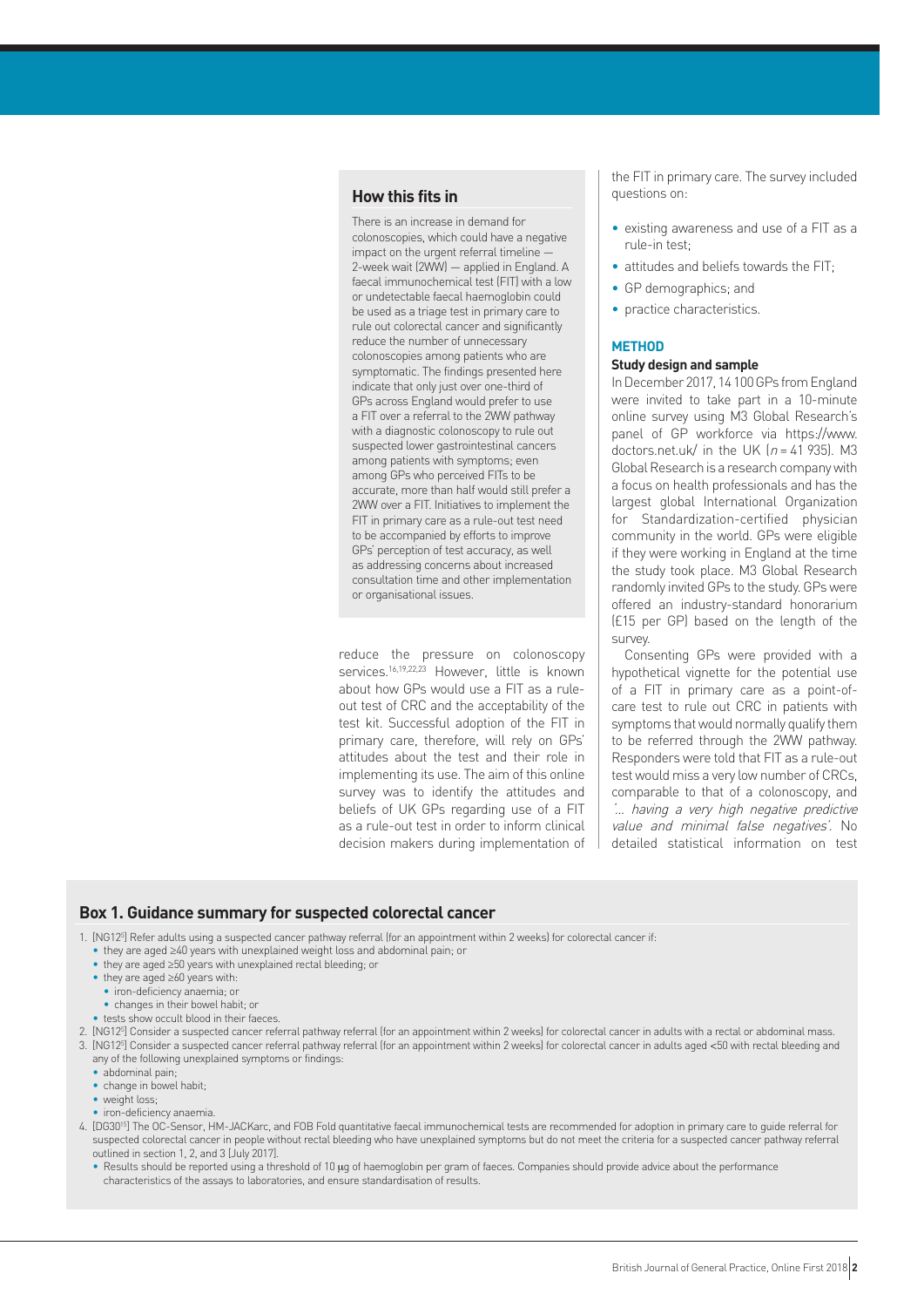## **How this fits in**

There is an increase in demand for colonoscopies, which could have a negative impact on the urgent referral timeline — 2-week wait (2WW) — applied in England. A faecal immunochemical test (FIT) with a low or undetectable faecal haemoglobin could be used as a triage test in primary care to rule out colorectal cancer and significantly reduce the number of unnecessary colonoscopies among patients who are symptomatic. The findings presented here indicate that only just over one-third of GPs across England would prefer to use a FIT over a referral to the 2WW pathway with a diagnostic colonoscopy to rule out suspected lower gastrointestinal cancers among patients with symptoms; even among GPs who perceived FITs to be accurate, more than half would still prefer a 2WW over a FIT. Initiatives to implement the FIT in primary care as a rule-out test need to be accompanied by efforts to improve GPs' perception of test accuracy, as well as addressing concerns about increased consultation time and other implementation or organisational issues.

reduce the pressure on colonoscopy services.16,19,22,23 However, little is known about how GPs would use a FIT as a ruleout test of CRC and the acceptability of the test kit. Successful adoption of the FIT in primary care, therefore, will rely on GPs' attitudes about the test and their role in implementing its use. The aim of this online survey was to identify the attitudes and beliefs of UK GPs regarding use of a FIT as a rule-out test in order to inform clinical decision makers during implementation of the FIT in primary care. The survey included questions on:

- existing awareness and use of a FIT as a rule-in test;
- attitudes and beliefs towards the FIT:
- GP demographics; and
- practice characteristics.

#### **METHOD**

#### **Study design and sample**

In December 2017, 14100 GPs from England were invited to take part in a 10-minute online survey using M3 Global Research's panel of GP workforce via https://www. doctors.net.uk/ in the UK  $(n = 41 935)$ . M3 Global Research is a research company with a focus on health professionals and has the largest global International Organization for Standardization-certified physician community in the world. GPs were eligible if they were working in England at the time the study took place. M3 Global Research randomly invited GPs to the study. GPs were offered an industry-standard honorarium (£15 per GP) based on the length of the survey.

Consenting GPs were provided with a hypothetical vignette for the potential use of a FIT in primary care as a point-ofcare test to rule out CRC in patients with symptoms that would normally qualify them to be referred through the 2WW pathway. Responders were told that FIT as a rule-out test would miss a very low number of CRCs, comparable to that of a colonoscopy, and '... having a very high negative predictive value and minimal false negatives'. No detailed statistical information on test

### **Box 1. Guidance summary for suspected colorectal cancer**

- 1. [NG125 ] Refer adults using a suspected cancer pathway referral (for an appointment within 2 weeks) for colorectal cancer if:
	- they are aged ≥40 years with unexplained weight loss and abdominal pain; or
	- they are aged ≥50 years with unexplained rectal bleeding; or
	- they are aged ≥60 years with:
		- iron-deficiency anaemia; or
		- changes in their bowel habit; or
	- tests show occult blood in their faeces
- 2. [NG125 ] Consider a suspected cancer referral pathway referral (for an appointment within 2 weeks) for colorectal cancer in adults with a rectal or abdominal mass. 3. [NG125 ] Consider a suspected cancer referral pathway referral (for an appointment within 2 weeks) for colorectal cancer in adults aged <50 with rectal bleeding and
- any of the following unexplained symptoms or findings:
	- abdominal pain;
	- change in bowel habit:
	- weight loss:
	- iron-deficiency anaemia.
- 4. [DG3015] The OC-Sensor, HM-JACKarc, and FOB Fold quantitative faecal immunochemical tests are recommended for adoption in primary care to guide referral for suspected colorectal cancer in people without rectal bleeding who have unexplained symptoms but do not meet the criteria for a suspected cancer pathway referral outlined in section 1, 2, and 3 [July 2017].
	- Results should be reported using a threshold of 10 µg of haemoglobin per gram of faeces. Companies should provide advice about the performance characteristics of the assays to laboratories, and ensure standardisation of results.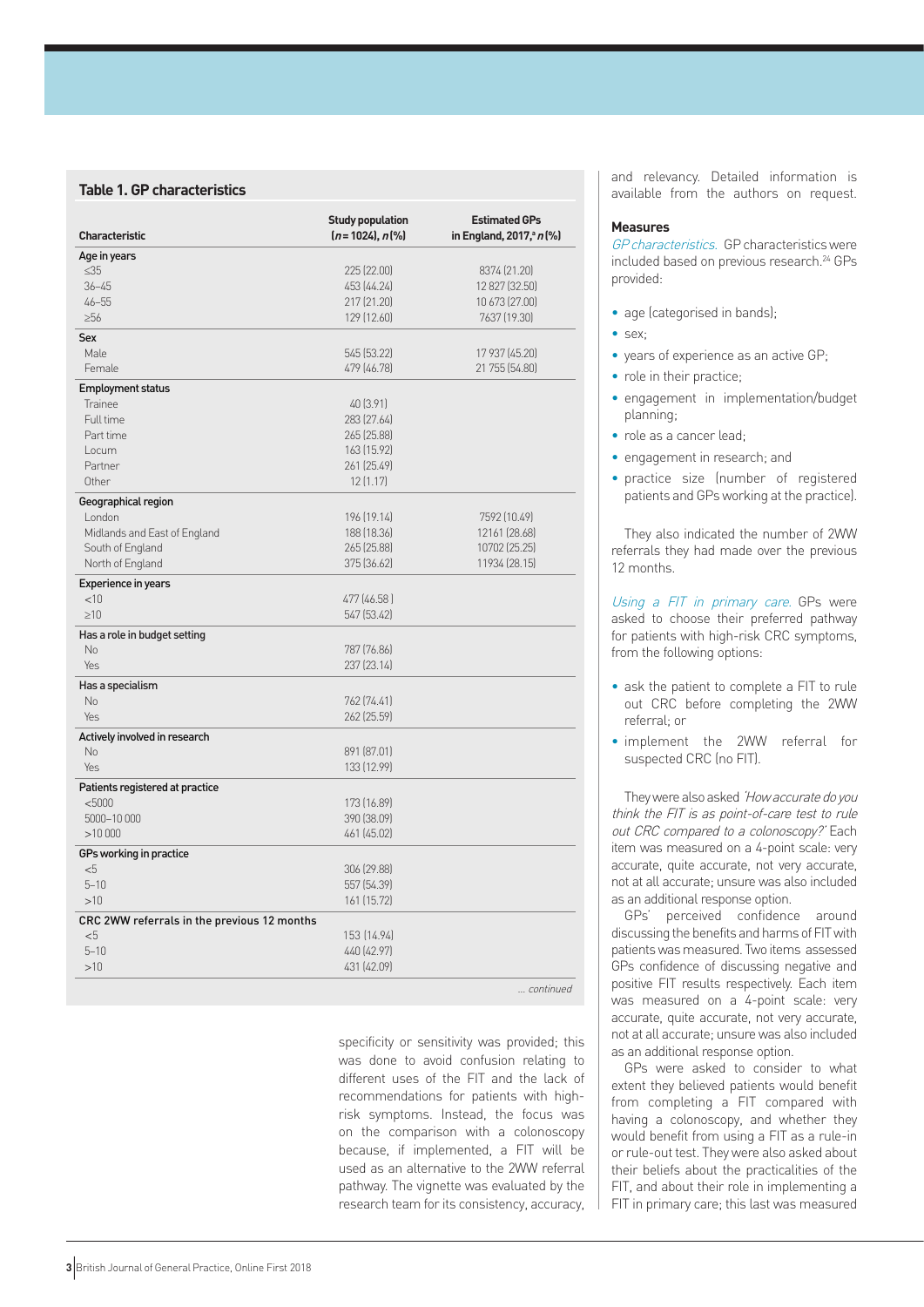## **Table 1. GP characteristics**

| <b>Characteristic</b>                       | <b>Study population</b><br>$(n=1024), n$ (%) | <b>Estimated GPs</b><br>in England, 2017, <sup>a</sup> n(%) |
|---------------------------------------------|----------------------------------------------|-------------------------------------------------------------|
| Age in years                                |                                              |                                                             |
| $\leq$ 35                                   | 225 (22.00)                                  | 8374 (21.20)                                                |
| $36 - 45$                                   | 453 (44.24)                                  | 12 827 (32.50)                                              |
| $46 - 55$                                   | 217 (21.20)                                  | 10 673 (27.00)                                              |
| $\geq 56$                                   | 129 (12.60)                                  | 7637 (19.30)                                                |
| Sex                                         |                                              |                                                             |
| Male                                        | 545 (53.22)                                  | 17 937 (45.20)                                              |
| Female                                      | 479 (46.78)                                  | 21 755 (54.80)                                              |
| <b>Employment status</b>                    |                                              |                                                             |
| Trainee                                     | 40 (3.91)                                    |                                                             |
| Full time                                   | 283 (27.64)                                  |                                                             |
| Part time                                   | 265 (25.88)                                  |                                                             |
| Locum                                       | 163 (15.92)                                  |                                                             |
| Partner                                     | 261 (25.49)                                  |                                                             |
| Other                                       | 12(1.17)                                     |                                                             |
| Geographical region                         |                                              |                                                             |
| London                                      | 196 (19.14)                                  | 7592 (10.49)                                                |
| Midlands and East of England                | 188 (18.36)                                  | 12161 (28.68)                                               |
| South of England                            | 265 (25.88)                                  | 10702 (25.25)                                               |
| North of England                            | 375 (36.62)                                  | 11934 [28.15]                                               |
| Experience in years                         |                                              |                                                             |
| < 10                                        | 477 (46.58)                                  |                                                             |
| $\geq 10$                                   | 547 [53.42]                                  |                                                             |
| Has a role in budget setting                |                                              |                                                             |
| N <sub>o</sub>                              | 787 (76.86)                                  |                                                             |
| Yes                                         | 237 (23.14)                                  |                                                             |
| Has a specialism                            |                                              |                                                             |
| N <sub>o</sub>                              | 762 [74.41]                                  |                                                             |
| Yes                                         | 262 (25.59)                                  |                                                             |
| Actively involved in research               |                                              |                                                             |
| N <sub>o</sub>                              | 891 (87.01)                                  |                                                             |
| <b>Yes</b>                                  | 133 (12.99)                                  |                                                             |
| Patients registered at practice             |                                              |                                                             |
| < 5000                                      | 173 (16.89)                                  |                                                             |
| 5000-10 000                                 | 390 (38.09)                                  |                                                             |
| >10000                                      | 461 (45.02)                                  |                                                             |
| GPs working in practice                     |                                              |                                                             |
| < 5                                         | 306 (29.88)                                  |                                                             |
| $5 - 10$                                    | 557 (54.39)                                  |                                                             |
| >10                                         | 161 (15.72)                                  |                                                             |
| CRC 2WW referrals in the previous 12 months |                                              |                                                             |
| < 5                                         | 153 (14.94)                                  |                                                             |
| $5 - 10$                                    | 440 (42.97)                                  |                                                             |
| >10                                         | 431 (42.09)                                  |                                                             |

specificity or sensitivity was provided; this was done to avoid confusion relating to different uses of the FIT and the lack of recommendations for patients with highrisk symptoms. Instead, the focus was on the comparison with a colonoscopy because, if implemented, a FIT will be used as an alternative to the 2WW referral pathway. The vignette was evaluated by the research team for its consistency, accuracy,

and relevancy. Detailed information is available from the authors on request.

#### **Measures**

GP characteristics. GP characteristics were included based on previous research.24 GPs provided:

- age (categorised in bands);
- sex;
- years of experience as an active GP;
- role in their practice;
- engagement in implementation/budget planning;
- role as a cancer lead;
- engagement in research; and
- practice size (number of registered patients and GPs working at the practice).

They also indicated the number of 2WW referrals they had made over the previous 12 months.

Using a FIT in primary care. GPs were asked to choose their preferred pathway for patients with high-risk CRC symptoms, from the following options:

- ask the patient to complete a FIT to rule out CRC before completing the 2WW referral; or
- implement the 2WW referral for suspected CRC (no FIT).

They were also asked 'How accurate do you think the FIT is as point-of-care test to rule out CRC compared to a colonoscopy?' Each item was measured on a 4-point scale: very accurate, quite accurate, not very accurate, not at all accurate; unsure was also included as an additional response option.

GPs' perceived confidence around discussing the benefits and harms of FIT with patients was measured. Two items assessed GPs confidence of discussing negative and positive FIT results respectively. Each item was measured on a 4-point scale: very accurate, quite accurate, not very accurate, not at all accurate; unsure was also included as an additional response option.

GPs were asked to consider to what extent they believed patients would benefit from completing a FIT compared with having a colonoscopy, and whether they would benefit from using a FIT as a rule-in or rule-out test. They were also asked about their beliefs about the practicalities of the FIT, and about their role in implementing a FIT in primary care; this last was measured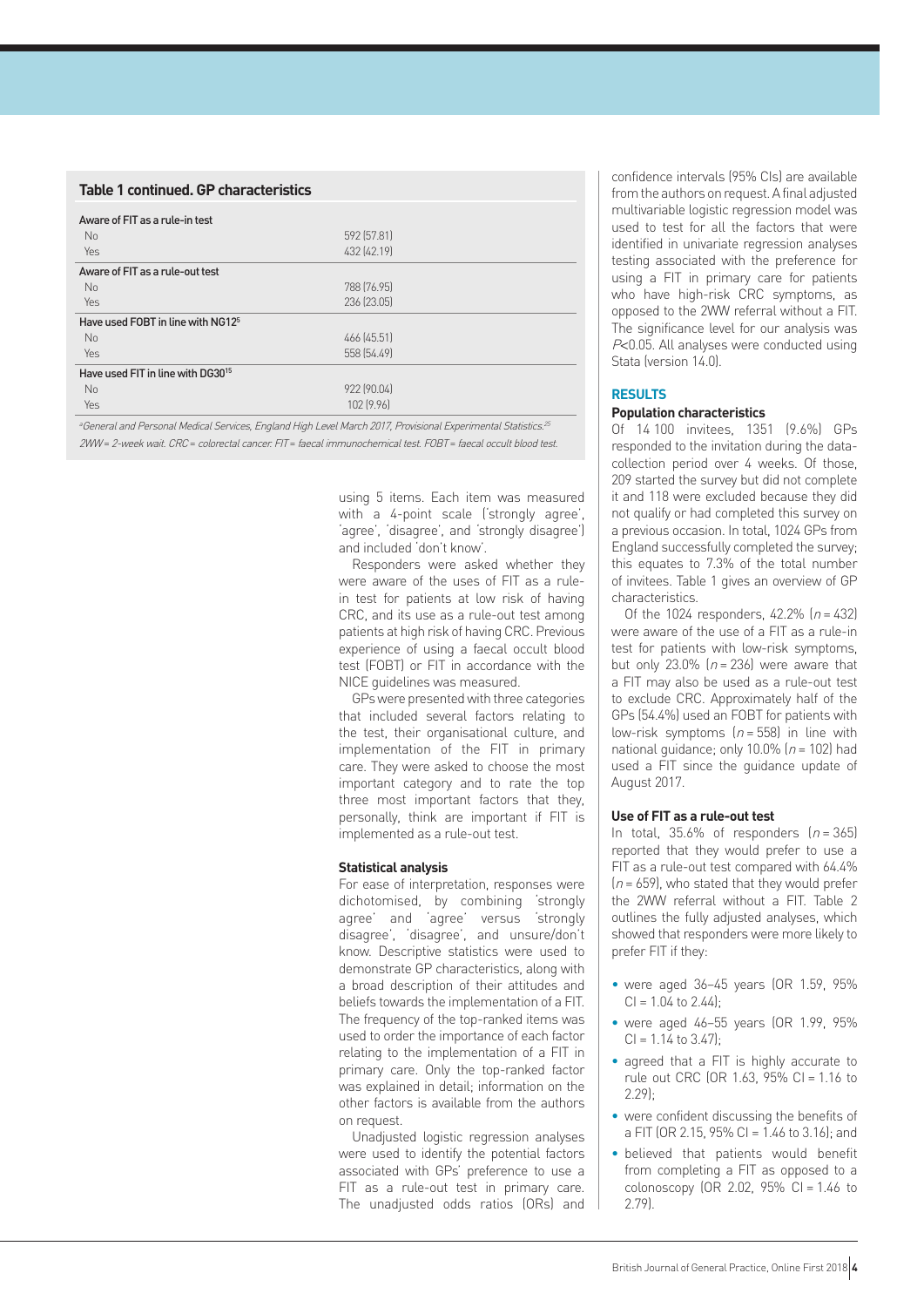| <b>Table 1 continued. GP characteristics</b>  |             |  |  |  |
|-----------------------------------------------|-------------|--|--|--|
| Aware of FIT as a rule-in test                |             |  |  |  |
| No                                            | 592 (57.81) |  |  |  |
| Yes                                           | 432 (42.19) |  |  |  |
| Aware of FIT as a rule-out test               |             |  |  |  |
| <b>No</b>                                     | 788 [76.95] |  |  |  |
| Yes                                           | 236 (23.05) |  |  |  |
| Have used FOBT in line with NG12 <sup>5</sup> |             |  |  |  |
| No                                            | 466 (45.51) |  |  |  |
| Yes                                           | 558 (54.49) |  |  |  |
| Have used FIT in line with DG30 <sup>15</sup> |             |  |  |  |
| No                                            | 922 (90.04) |  |  |  |
| Yes                                           | 102 (9.96)  |  |  |  |

<sup>a</sup>General and Personal Medical Services, England High Level March 2017, Provisional Experimental Statistics.<sup>25</sup> 2WW = 2-week wait. CRC = colorectal cancer. FIT = faecal immunochemical test. FOBT = faecal occult blood test.

> using 5 items. Each item was measured with a 4-point scale ('strongly agree', 'agree', 'disagree', and 'strongly disagree') and included 'don't know'.

> Responders were asked whether they were aware of the uses of FIT as a rulein test for patients at low risk of having CRC, and its use as a rule-out test among patients at high risk of having CRC. Previous experience of using a faecal occult blood test (FOBT) or FIT in accordance with the NICE guidelines was measured.

> GPs were presented with three categories that included several factors relating to the test, their organisational culture, and implementation of the FIT in primary care. They were asked to choose the most important category and to rate the top three most important factors that they, personally, think are important if FIT is implemented as a rule-out test.

### **Statistical analysis**

For ease of interpretation, responses were dichotomised, by combining 'strongly agree' and 'agree' versus 'strongly disagree', 'disagree', and unsure/don't know. Descriptive statistics were used to demonstrate GP characteristics, along with a broad description of their attitudes and beliefs towards the implementation of a FIT. The frequency of the top-ranked items was used to order the importance of each factor relating to the implementation of a FIT in primary care. Only the top-ranked factor was explained in detail; information on the other factors is available from the authors on request.

Unadjusted logistic regression analyses were used to identify the potential factors associated with GPs' preference to use a FIT as a rule-out test in primary care. The unadjusted odds ratios (ORs) and

confidence intervals (95% CIs) are available from the authors on request. A final adjusted multivariable logistic regression model was used to test for all the factors that were identified in univariate regression analyses testing associated with the preference for using a FIT in primary care for patients who have high-risk CRC symptoms, as opposed to the 2WW referral without a FIT. The significance level for our analysis was P<0.05. All analyses were conducted using Stata (version 14.0).

## **RESULTS**

## **Population characteristics**

Of 14 100 invitees, 1351 (9.6%) GPs responded to the invitation during the datacollection period over 4 weeks. Of those, 209 started the survey but did not complete it and 118 were excluded because they did not qualify or had completed this survey on a previous occasion. In total, 1024 GPs from England successfully completed the survey; this equates to 7.3% of the total number of invitees. Table 1 gives an overview of GP characteristics.

Of the 1024 responders,  $42.2\%$   $(n = 432)$ were aware of the use of a FIT as a rule-in test for patients with low-risk symptoms, but only 23.0%  $(n = 236)$  were aware that a FIT may also be used as a rule-out test to exclude CRC. Approximately half of the GPs (54.4%) used an FOBT for patients with low-risk symptoms  $(n = 558)$  in line with national guidance; only 10.0%  $(n = 102)$  had used a FIT since the guidance update of August 2017.

### **Use of FIT as a rule-out test**

In total,  $35.6\%$  of responders  $(n = 365)$ reported that they would prefer to use a FIT as a rule-out test compared with 64.4%  $(n = 659)$ , who stated that they would prefer the 2WW referral without a FIT. Table 2 outlines the fully adjusted analyses, which showed that responders were more likely to prefer FIT if they:

- were aged 36–45 years (OR 1.59, 95%  $Cl = 1.04$  to 2.44);
- were aged 46–55 years (OR 1.99, 95%  $Cl = 1.14$  to 3.47);
- agreed that a FIT is highly accurate to rule out CRC (OR 1.63, 95% CI = 1.16 to 2.29);
- were confident discussing the benefits of a FIT (OR 2.15, 95% CI = 1.46 to 3.16); and
- believed that patients would benefit from completing a FIT as opposed to a colonoscopy  $[OR 2.02, 95\%]$   $Cl = 1.46$  to 2.79).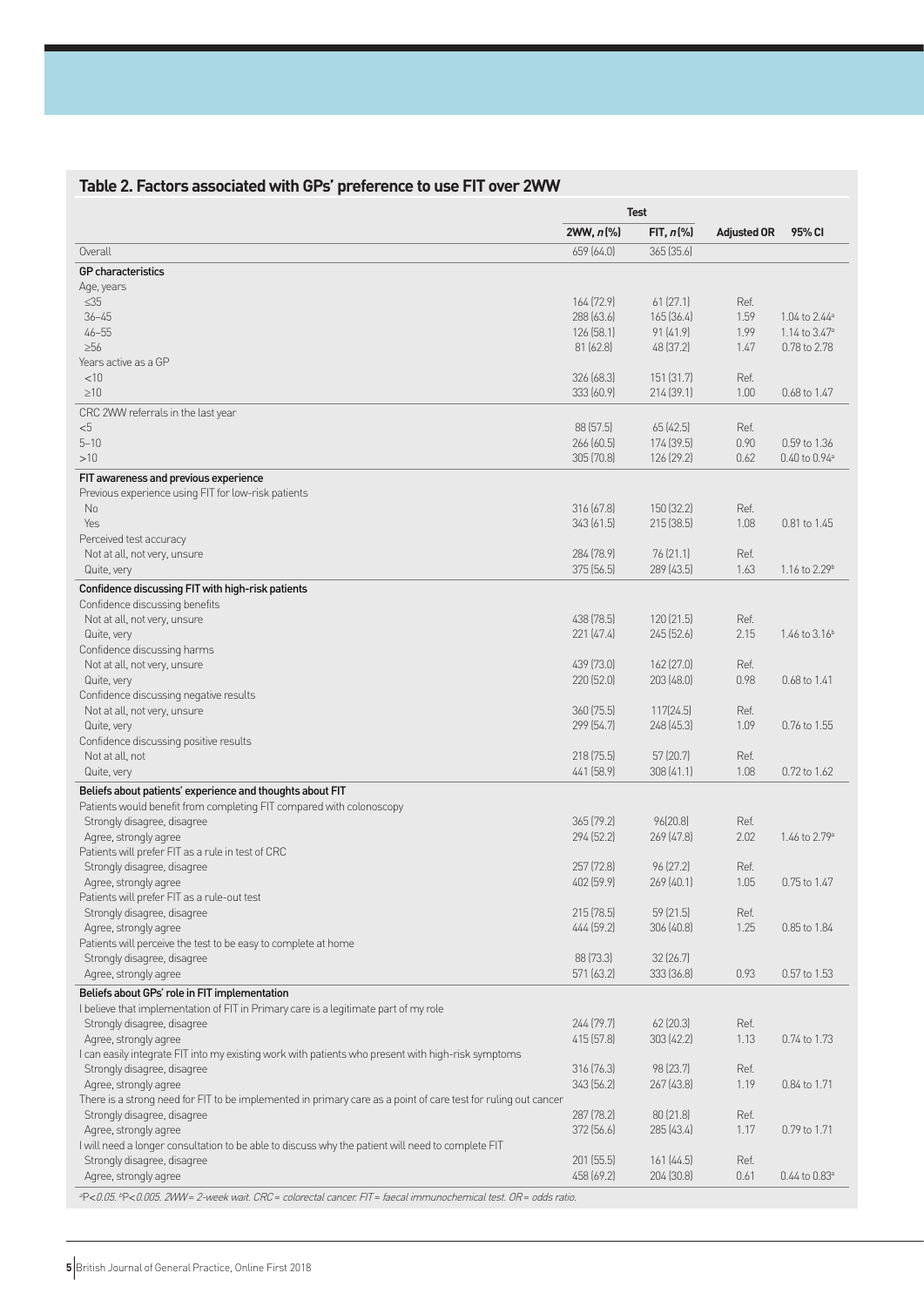## **Table 2. Factors associated with GPs' preference to use FIT over 2WW**

|                                                                                                                            | <b>Test</b>              |                         |                    |                                            |
|----------------------------------------------------------------------------------------------------------------------------|--------------------------|-------------------------|--------------------|--------------------------------------------|
|                                                                                                                            | 2WW, n(%)                | FIT, $n$ $%$            | <b>Adjusted OR</b> | 95% CI                                     |
| Overall                                                                                                                    | 659 (64.0)               | 365(35.6)               |                    |                                            |
| <b>GP</b> characteristics                                                                                                  |                          |                         |                    |                                            |
| Age, years                                                                                                                 |                          |                         |                    |                                            |
| $\leq 35$<br>$36 - 45$                                                                                                     | 164 [72.9]<br>288 [63.6] | 61(27.1)<br>165 (36.4)  | Ref.<br>1.59       |                                            |
| $46 - 55$                                                                                                                  | 126 (58.1)               | 91(41.9)                | 1.99               | 1.04 to $2.44^a$<br>1.14 to $3.47^{\circ}$ |
| $\geq 56$                                                                                                                  | 81 (62.8)                | 48 (37.2)               | 1.47               | 0.78 to 2.78                               |
| Years active as a GP                                                                                                       |                          |                         |                    |                                            |
| $<$ 10                                                                                                                     | 326 (68.3)               | 151 (31.7)              | Ref.               |                                            |
| $\geq 10$                                                                                                                  | 333 (60.9)               | 214 (39.1)              | 1.00               | 0.68 to 1.47                               |
| CRC 2WW referrals in the last year                                                                                         |                          |                         |                    |                                            |
| $<$ 5                                                                                                                      | 88 (57.5)                | 65(42.5)                | Ref.               |                                            |
| $5 - 10$                                                                                                                   | 266 [60.5]               | 174 (39.5)              | 0.90               | 0.59 to 1.36                               |
| >10                                                                                                                        | 305 (70.8)               | 126 (29.2)              | 0.62               | $0.40$ to $0.94$ <sup>a</sup>              |
| FIT awareness and previous experience                                                                                      |                          |                         |                    |                                            |
| Previous experience using FIT for low-risk patients                                                                        |                          |                         |                    |                                            |
| No                                                                                                                         | 316 [67.8]               | 150 (32.2)              | Ref.               |                                            |
| Yes<br>Perceived test accuracy                                                                                             | 343 (61.5)               | 215 (38.5)              | 1.08               | 0.81 to 1.45                               |
| Not at all, not very, unsure                                                                                               | 284 (78.9)               | 76(21.1)                | Ref.               |                                            |
| Quite, very                                                                                                                | 375 (56.5)               | 289 (43.5)              | 1.63               | 1.16 to 2.29 <sup>b</sup>                  |
| Confidence discussing FIT with high-risk patients                                                                          |                          |                         |                    |                                            |
| Confidence discussing benefits                                                                                             |                          |                         |                    |                                            |
| Not at all, not very, unsure                                                                                               | 438 [78.5]               | 120 (21.5)              | Ref.               |                                            |
| Quite, very                                                                                                                | 221 (47.4)               | 245 (52.6)              | 2.15               | 1.46 to 3.16 <sup>b</sup>                  |
| Confidence discussing harms                                                                                                |                          |                         |                    |                                            |
| Not at all, not very, unsure                                                                                               | 439 [73.0]               | 162 (27.0)              | Ref.               |                                            |
| Quite, very                                                                                                                | 220 (52.0)               | 203(48.0)               | 0.98               | 0.68 to 1.41                               |
| Confidence discussing negative results                                                                                     |                          |                         |                    |                                            |
| Not at all, not very, unsure                                                                                               | 360 [75.5]               | 117(24.5)               | Ref.               |                                            |
| Quite, very<br>Confidence discussing positive results                                                                      | 299 (54.7)               | 248 (45.3)              | 1.09               | 0.76 to 1.55                               |
| Not at all, not                                                                                                            | 218 (75.5)               | 57 (20.7)               | Ref.               |                                            |
| Quite, very                                                                                                                | 441 [58.9]               | 308(41.1)               | 1.08               | 0.72 to 1.62                               |
| Beliefs about patients' experience and thoughts about FIT                                                                  |                          |                         |                    |                                            |
| Patients would benefit from completing FIT compared with colonoscopy                                                       |                          |                         |                    |                                            |
| Strongly disagree, disagree                                                                                                | 365 [79.2]               | 96(20.8)                | Ref.               |                                            |
| Agree, strongly agree                                                                                                      | 294 (52.2)               | 269 (47.8)              | 2.02               | 1.46 to 2.79 <sup>a</sup>                  |
| Patients will prefer FIT as a rule in test of CRC                                                                          |                          |                         |                    |                                            |
| Strongly disagree, disagree                                                                                                | 257 (72.8)               | 96 (27.2)               | Ref.               |                                            |
| Agree, strongly agree                                                                                                      | 402 (59.9)               | 269(40.1)               | 1.05               | 0.75 to 1.47                               |
| Patients will prefer FIT as a rule-out test                                                                                |                          |                         |                    |                                            |
| Strongly disagree, disagree<br>Agree, strongly agree                                                                       | 215 (78.5)<br>444 (59.2) | 59 (21.5)<br>306 (40.8) | Ref.<br>1.25       | 0.85 to 1.84                               |
| Patients will perceive the test to be easy to complete at home                                                             |                          |                         |                    |                                            |
| Strongly disagree, disagree                                                                                                | 88 (73.3)                | 32(26.7)                |                    |                                            |
| Agree, strongly agree                                                                                                      | 571 (63.2)               | 333 (36.8)              | 0.93               | 0.57 to 1.53                               |
| Beliefs about GPs' role in FIT implementation                                                                              |                          |                         |                    |                                            |
| I believe that implementation of FIT in Primary care is a legitimate part of my role                                       |                          |                         |                    |                                            |
| Strongly disagree, disagree                                                                                                | 244 (79.7)               | 62 (20.3)               | Ref.               |                                            |
| Agree, strongly agree                                                                                                      | 415 (57.8)               | 303 (42.2)              | 1.13               | 0.74 to 1.73                               |
| I can easily integrate FIT into my existing work with patients who present with high-risk symptoms                         |                          |                         |                    |                                            |
| Strongly disagree, disagree                                                                                                | 316 (76.3)               | 98 (23.7)               | Ref.               |                                            |
| Agree, strongly agree                                                                                                      | 343 (56.2)               | 267 (43.8)              | 1.19               | 0.84 to 1.71                               |
| There is a strong need for FIT to be implemented in primary care as a point of care test for ruling out cancer             |                          |                         |                    |                                            |
| Strongly disagree, disagree                                                                                                | 287 (78.2)               | 80 (21.8)               | Ref.               |                                            |
| Agree, strongly agree<br>I will need a longer consultation to be able to discuss why the patient will need to complete FIT | 372 (56.6)               | 285 (43.4)              | 1.17               | 0.79 to 1.71                               |
| Strongly disagree, disagree                                                                                                | 201 (55.5)               | 161 (44.5)              | Ref.               |                                            |
| Agree, strongly agree                                                                                                      | 458 (69.2)               | 204 (30.8)              | 0.61               | $0.44$ to $0.83^{\circ}$                   |
| ªP<0.05. bP<0.005. 2WW= 2-week wait. CRC= colorectal cancer. FIT= faecal immunochemical test. OR= odds ratio.              |                          |                         |                    |                                            |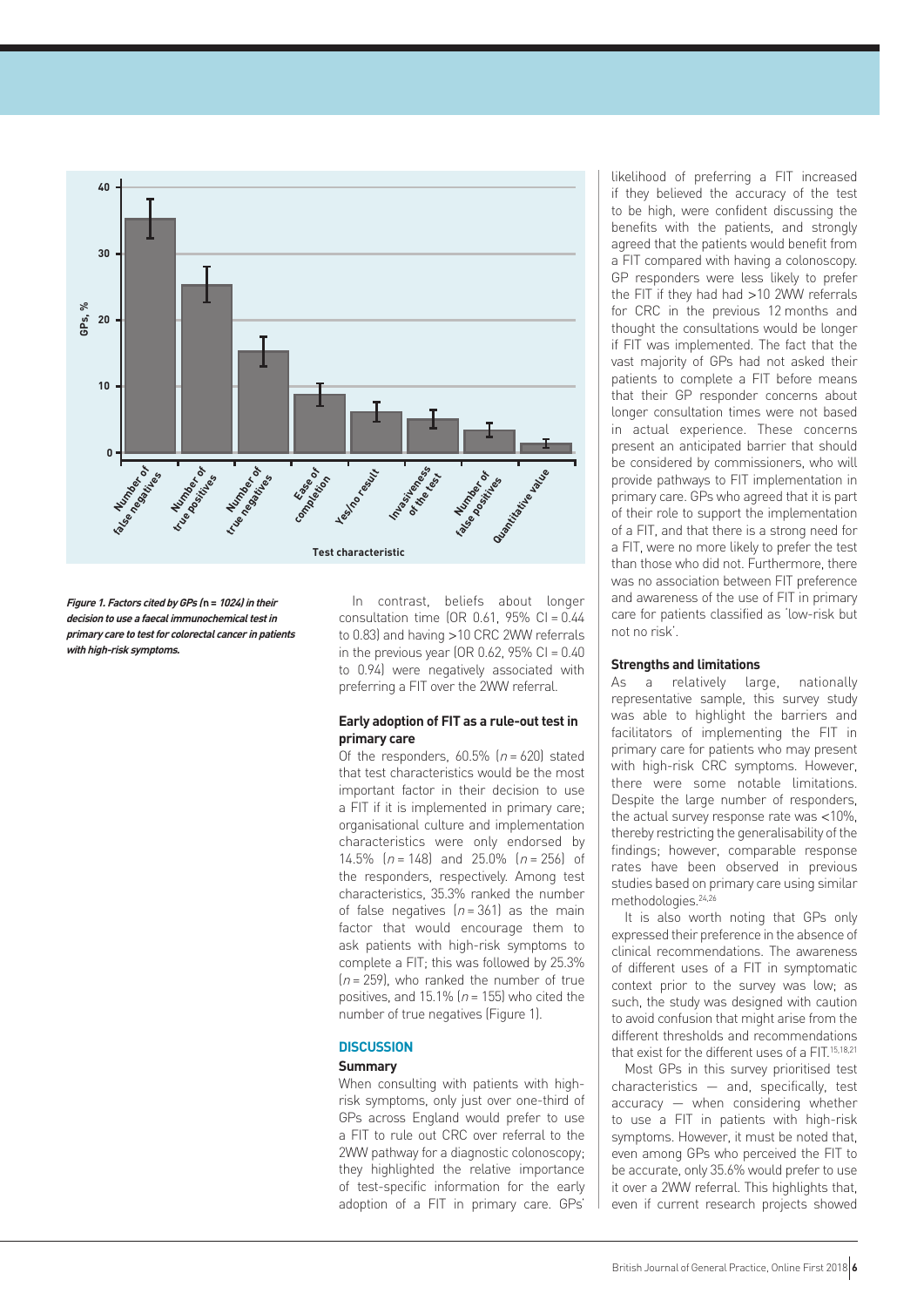

**Figure 1. Factors cited by GPs (n = 1024) in their decision to use a faecal immunochemical test in primary care to test for colorectal cancer in patients with high-risk symptoms.**

In contrast, beliefs about longer consultation time (OR 0.61,  $95\%$  CI = 0.44 to 0.83) and having >10 CRC 2WW referrals in the previous year (OR 0.62, 95% CI =  $0.40$ to 0.94) were negatively associated with preferring a FIT over the 2WW referral.

## **Early adoption of FIT as a rule-out test in primary care**

Of the responders,  $60.5\%$   $(n = 620)$  stated that test characteristics would be the most important factor in their decision to use a FIT if it is implemented in primary care; organisational culture and implementation characteristics were only endorsed by 14.5%  $[n = 148]$  and 25.0%  $[n = 256]$  of the responders, respectively. Among test characteristics, 35.3% ranked the number of false negatives  $[n = 361]$  as the main factor that would encourage them to ask patients with high-risk symptoms to complete a FIT; this was followed by 25.3%  $(n = 259)$ , who ranked the number of true positives, and 15.1%  $(n = 155)$  who cited the number of true negatives (Figure 1).

## **DISCUSSION**

#### **Summary**

When consulting with patients with highrisk symptoms, only just over one-third of GPs across England would prefer to use a FIT to rule out CRC over referral to the 2WW pathway for a diagnostic colonoscopy; they highlighted the relative importance of test-specific information for the early adoption of a FIT in primary care. GPs'

likelihood of preferring a FIT increased if they believed the accuracy of the test to be high, were confident discussing the benefits with the patients, and strongly agreed that the patients would benefit from a FIT compared with having a colonoscopy. GP responders were less likely to prefer the FIT if they had had >10 2WW referrals for CRC in the previous 12 months and thought the consultations would be longer if FIT was implemented. The fact that the vast majority of GPs had not asked their patients to complete a FIT before means that their GP responder concerns about longer consultation times were not based in actual experience. These concerns present an anticipated barrier that should be considered by commissioners, who will provide pathways to FIT implementation in primary care. GPs who agreed that it is part of their role to support the implementation of a FIT, and that there is a strong need for a FIT, were no more likely to prefer the test than those who did not. Furthermore, there was no association between FIT preference and awareness of the use of FIT in primary care for patients classified as 'low-risk but not no risk'.

#### **Strengths and limitations**

As a relatively large, nationally representative sample, this survey study was able to highlight the barriers and facilitators of implementing the FIT in primary care for patients who may present with high-risk CRC symptoms. However, there were some notable limitations. Despite the large number of responders, the actual survey response rate was <10%, thereby restricting the generalisability of the findings; however, comparable response rates have been observed in previous studies based on primary care using similar methodologies.24,26

It is also worth noting that GPs only expressed their preference in the absence of clinical recommendations. The awareness of different uses of a FIT in symptomatic context prior to the survey was low; as such, the study was designed with caution to avoid confusion that might arise from the different thresholds and recommendations that exist for the different uses of a  $FIT^{15,18,21}$ 

Most GPs in this survey prioritised test characteristics — and, specifically, test accuracy — when considering whether to use a FIT in patients with high-risk symptoms. However, it must be noted that, even among GPs who perceived the FIT to be accurate, only 35.6% would prefer to use it over a 2WW referral. This highlights that, even if current research projects showed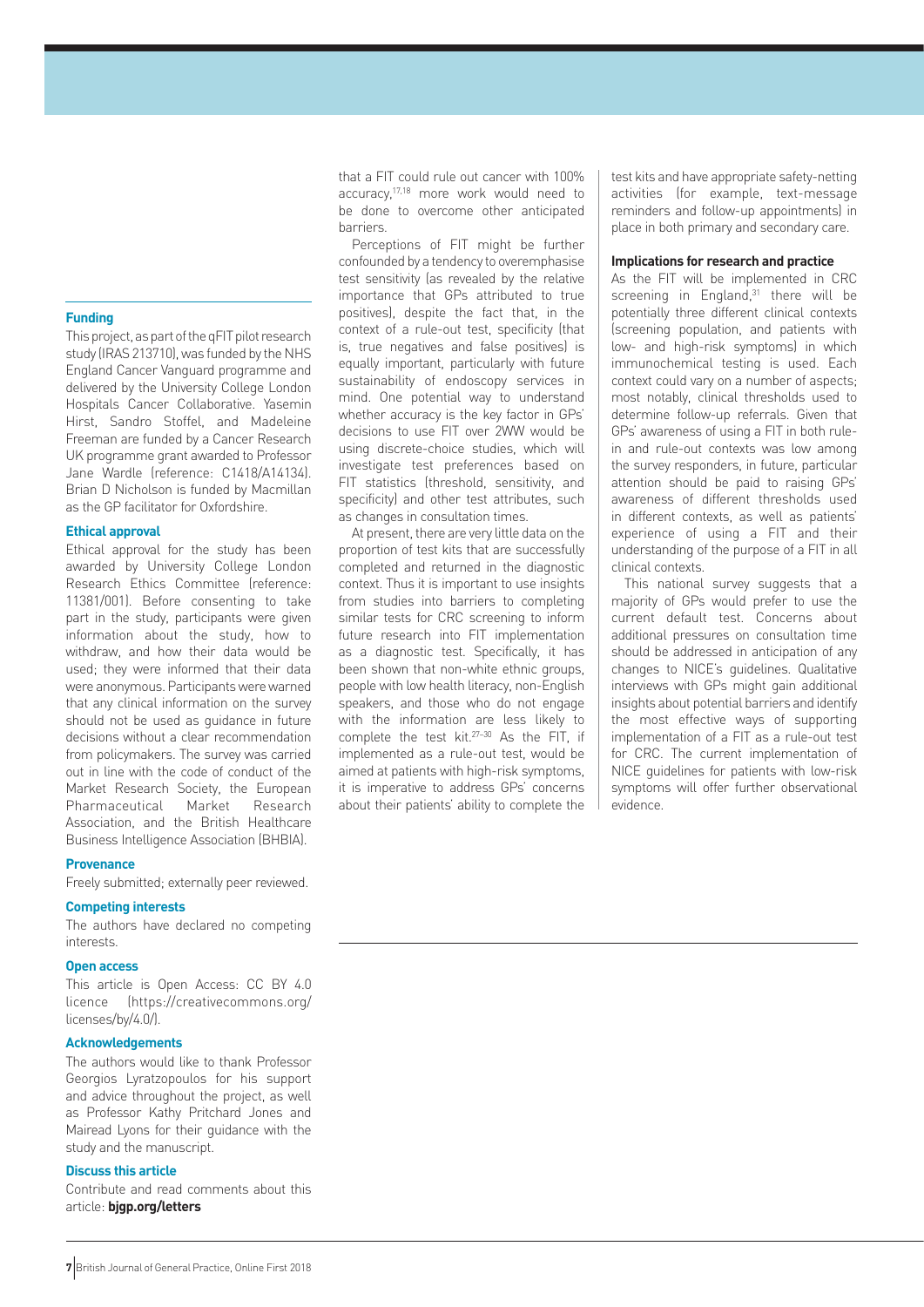### **Funding**

This project, as part of the qFIT pilot research study (IRAS 213710), was funded by the NHS England Cancer Vanguard programme and delivered by the University College London Hospitals Cancer Collaborative. Yasemin Hirst, Sandro Stoffel, and Madeleine Freeman are funded by a Cancer Research UK programme grant awarded to Professor Jane Wardle (reference: C1418/A14134). Brian D Nicholson is funded by Macmillan as the GP facilitator for Oxfordshire.

### **Ethical approval**

Ethical approval for the study has been awarded by University College London Research Ethics Committee (reference: 11381/001). Before consenting to take part in the study, participants were given information about the study, how to withdraw, and how their data would be used; they were informed that their data were anonymous. Participants were warned that any clinical information on the survey should not be used as guidance in future decisions without a clear recommendation from policymakers. The survey was carried out in line with the code of conduct of the Market Research Society, the European Pharmaceutical Market Research Association, and the British Healthcare Business Intelligence Association (BHBIA).

#### **Provenance**

Freely submitted; externally peer reviewed.

## **Competing interests**

The authors have declared no competing interests.

## **Open access**

This article is Open Access: CC BY 4.0 licence (https://creativecommons.org/ licenses/by/4.0/).

## **Acknowledgements**

The authors would like to thank Professor Georgios Lyratzopoulos for his support and advice throughout the project, as well as Professor Kathy Pritchard Jones and Mairead Lyons for their guidance with the study and the manuscript.

## **Discuss this article**

Contribute and read comments about this article: **bjgp.org/letters**

that a FIT could rule out cancer with 100% accuracy,17,18 more work would need to be done to overcome other anticipated barriers.

Perceptions of FIT might be further confounded by a tendency to overemphasise test sensitivity (as revealed by the relative importance that GPs attributed to true positives), despite the fact that, in the context of a rule-out test, specificity (that is, true negatives and false positives) is equally important, particularly with future sustainability of endoscopy services in mind. One potential way to understand whether accuracy is the key factor in GPs' decisions to use FIT over 2WW would be using discrete-choice studies, which will investigate test preferences based on FIT statistics (threshold, sensitivity, and specificity) and other test attributes, such as changes in consultation times.

At present, there are very little data on the proportion of test kits that are successfully completed and returned in the diagnostic context. Thus it is important to use insights from studies into barriers to completing similar tests for CRC screening to inform future research into FIT implementation as a diagnostic test. Specifically, it has been shown that non-white ethnic groups, people with low health literacy, non-English speakers, and those who do not engage with the information are less likely to complete the test kit.27–30 As the FIT, if implemented as a rule-out test, would be aimed at patients with high-risk symptoms, it is imperative to address GPs' concerns about their patients' ability to complete the test kits and have appropriate safety-netting activities (for example, text-message reminders and follow-up appointments) in place in both primary and secondary care.

## **Implications for research and practice**

As the FIT will be implemented in CRC screening in England,<sup>31</sup> there will be potentially three different clinical contexts (screening population, and patients with low- and high-risk symptoms) in which immunochemical testing is used. Each context could vary on a number of aspects; most notably, clinical thresholds used to determine follow-up referrals. Given that GPs' awareness of using a FIT in both rulein and rule-out contexts was low among the survey responders, in future, particular attention should be paid to raising GPs' awareness of different thresholds used in different contexts, as well as patients' experience of using a FIT and their understanding of the purpose of a FIT in all clinical contexts.

This national survey suggests that a majority of GPs would prefer to use the current default test. Concerns about additional pressures on consultation time should be addressed in anticipation of any changes to NICE's guidelines. Qualitative interviews with GPs might gain additional insights about potential barriers and identify the most effective ways of supporting implementation of a FIT as a rule-out test for CRC. The current implementation of NICE guidelines for patients with low-risk symptoms will offer further observational evidence.